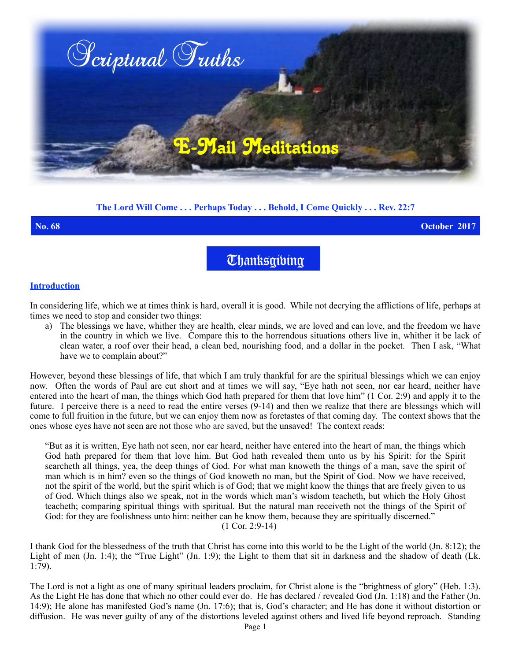

# **The Lord Will Come . . . Perhaps Today . . . Behold, I Come Quickly . . . Rev. 22:7**

#### **No. 68 October 2017**

**Thanksgibing** 

#### **Introduction**

In considering life, which we at times think is hard, overall it is good. While not decrying the afflictions of life, perhaps at times we need to stop and consider two things:

a) The blessings we have, whither they are health, clear minds, we are loved and can love, and the freedom we have in the country in which we live. Compare this to the horrendous situations others live in, whither it be lack of clean water, a roof over their head, a clean bed, nourishing food, and a dollar in the pocket. Then I ask, "What have we to complain about?"

However, beyond these blessings of life, that which I am truly thankful for are the spiritual blessings which we can enjoy now. Often the words of Paul are cut short and at times we will say, "Eye hath not seen, nor ear heard, neither have entered into the heart of man, the things which God hath prepared for them that love him" (1 Cor. 2:9) and apply it to the future. I perceive there is a need to read the entire verses (9-14) and then we realize that there are blessings which will come to full fruition in the future, but we can enjoy them now as foretastes of that coming day. The context shows that the ones whose eyes have not seen are not those who are saved, but the unsaved! The context reads:

"But as it is written, Eye hath not seen, nor ear heard, neither have entered into the heart of man, the things which God hath prepared for them that love him. But God hath revealed them unto us by his Spirit: for the Spirit searcheth all things, yea, the deep things of God. For what man knoweth the things of a man, save the spirit of man which is in him? even so the things of God knoweth no man, but the Spirit of God. Now we have received, not the spirit of the world, but the spirit which is of God; that we might know the things that are freely given to us of God. Which things also we speak, not in the words which man's wisdom teacheth, but which the Holy Ghost teacheth; comparing spiritual things with spiritual. But the natural man receiveth not the things of the Spirit of God: for they are foolishness unto him: neither can he know them, because they are spiritually discerned." (1 Cor. 2:9-14)

I thank God for the blessedness of the truth that Christ has come into this world to be the Light of the world (Jn. 8:12); the Light of men (Jn. 1:4); the "True Light" (Jn. 1:9); the Light to them that sit in darkness and the shadow of death (Lk. 1:79).

The Lord is not a light as one of many spiritual leaders proclaim, for Christ alone is the "brightness of glory" (Heb. 1:3). As the Light He has done that which no other could ever do. He has declared / revealed God (Jn. 1:18) and the Father (Jn. 14:9); He alone has manifested God's name (Jn. 17:6); that is, God's character; and He has done it without distortion or diffusion. He was never guilty of any of the distortions leveled against others and lived life beyond reproach. Standing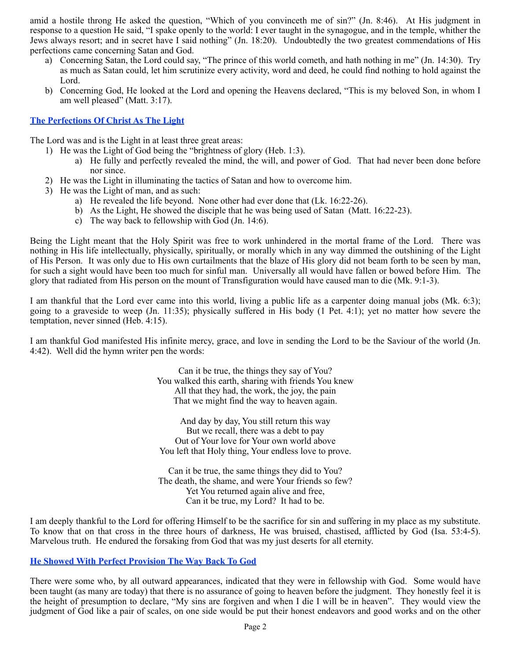amid a hostile throng He asked the question, "Which of you convinceth me of sin?" (Jn. 8:46). At His judgment in response to a question He said, "I spake openly to the world: I ever taught in the synagogue, and in the temple, whither the Jews always resort; and in secret have I said nothing" (Jn. 18:20). Undoubtedly the two greatest commendations of His perfections came concerning Satan and God.

- a) Concerning Satan, the Lord could say, "The prince of this world cometh, and hath nothing in me" (Jn. 14:30). Try as much as Satan could, let him scrutinize every activity, word and deed, he could find nothing to hold against the Lord.
- b) Concerning God, He looked at the Lord and opening the Heavens declared, "This is my beloved Son, in whom I am well pleased" (Matt. 3:17).

### **The Perfections Of Christ As The Light**

The Lord was and is the Light in at least three great areas:

- 1) He was the Light of God being the "brightness of glory (Heb. 1:3).
	- a) He fully and perfectly revealed the mind, the will, and power of God. That had never been done before nor since.
- 2) He was the Light in illuminating the tactics of Satan and how to overcome him.
- 3) He was the Light of man, and as such:
	- a) He revealed the life beyond. None other had ever done that (Lk. 16:22-26).
	- b) As the Light, He showed the disciple that he was being used of Satan (Matt. 16:22-23).
	- c) The way back to fellowship with God (Jn. 14:6).

Being the Light meant that the Holy Spirit was free to work unhindered in the mortal frame of the Lord. There was nothing in His life intellectually, physically, spiritually, or morally which in any way dimmed the outshining of the Light of His Person. It was only due to His own curtailments that the blaze of His glory did not beam forth to be seen by man, for such a sight would have been too much for sinful man. Universally all would have fallen or bowed before Him. The glory that radiated from His person on the mount of Transfiguration would have caused man to die (Mk. 9:1-3).

I am thankful that the Lord ever came into this world, living a public life as a carpenter doing manual jobs (Mk. 6:3); going to a graveside to weep (Jn. 11:35); physically suffered in His body (1 Pet. 4:1); yet no matter how severe the temptation, never sinned (Heb. 4:15).

I am thankful God manifested His infinite mercy, grace, and love in sending the Lord to be the Saviour of the world (Jn. 4:42). Well did the hymn writer pen the words:

> Can it be true, the things they say of You? You walked this earth, sharing with friends You knew All that they had, the work, the joy, the pain That we might find the way to heaven again.

And day by day, You still return this way But we recall, there was a debt to pay Out of Your love for Your own world above You left that Holy thing, Your endless love to prove.

Can it be true, the same things they did to You? The death, the shame, and were Your friends so few? Yet You returned again alive and free, Can it be true, my Lord? It had to be.

I am deeply thankful to the Lord for offering Himself to be the sacrifice for sin and suffering in my place as my substitute. To know that on that cross in the three hours of darkness, He was bruised, chastised, afflicted by God (Isa. 53:4-5). Marvelous truth. He endured the forsaking from God that was my just deserts for all eternity.

# **He Showed With Perfect Provision The Way Back To God**

There were some who, by all outward appearances, indicated that they were in fellowship with God. Some would have been taught (as many are today) that there is no assurance of going to heaven before the judgment. They honestly feel it is the height of presumption to declare, "My sins are forgiven and when I die I will be in heaven". They would view the judgment of God like a pair of scales, on one side would be put their honest endeavors and good works and on the other